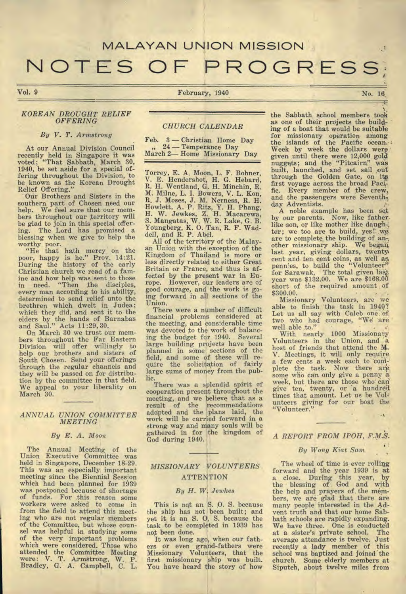# MALAYAN UNION MISSION

# NOTES OF PROGRESS

Vol. 9

#### February, 1940

#### *KOREAN DROUGHT RELIEF OFFERING*

#### *By V. T. Armstrong*

At our Annual Division Council recently held in Singapore it was voted; "That Sabbath, March 30, 1940, be set aside for a special offering throughout the Division, to be known as the Korean Drought Relief Offering."

Our Brothers and Sisters in the southern part of Chosen need our help. We feel sure that our members throughout our territory will be glad to join in this special offering. The Lord has promised a blessing when we give to help the worthy poor.

"He that hath mercy on the poor, happy is he." Prov. 14:21. During the history of the early Christian church we read of a famine and how help was sent to those in need. "Then the disciples, every man according to his ability, determined to send relief unto the brethren which dwelt in Judea; which they did, and sent it to the elders by the hands of Barnabas and Saul." Acts 11:29,30.

On March 30 we trust our members throughout the Far Eastern Division will offer willingly to help our brothers and sisters of South Chosen. Send your offerings through the regular channels and they will be passed on for distribution by the committee in that field. We appeal to your liberality on March 30.

#### *ANNUAL UNION COMMITTEE MEETING*

#### *By E. A. Moon*

The Annual Meeting of the Union Executive Committee was held in Singapore, December 18-29. This was an especially important meeting since the Biennial Session which had been planned for 1939 was postponed because of shortage of funds. For this reason some workers were asked to come in from the field to attend this meeting who are not regular members of the Committee, but whose counsel was helpful in studying some of the very important problems which were considered. Those who attended the Committee Meeting were: V. T. Armstrong. W. P. Bradley, G. A. Campbell, C. L.

### *CHURCH CALENDAR*

|  |  | Feb. 3 - Christian Home Day |  |
|--|--|-----------------------------|--|
|  |  | $\mu$ 24 — Temperance Day   |  |
|  |  | March 2-Home Missionary Day |  |

Torrey, E. A. Moon, L. F. Bohner, V. E. Hendershot, H. G. Hebard, R. H. Wentland, G. H. Minchin, R. M. Milne, L. I. Bowers, V. L. Kon, R. J. Moses, J. M. Nerness, R. H. Howlett, A. P. Ritz, Y. H. Phang, H. W. Jewkes, Z. H. Macarewa, S. Mangatas, W. W. R. Lake, G. B. Youngberg, K. 0. Tan, R. F. Waddell, and R. P. Abel.

All of the territory of the Malayan Union with the exception of the Kingdom of Thailand is more or less directly related to either Great Britain or France, and thus is affected by the present war in Europe. However, our leaders are of good courage, and the work is *going* forward in all sections of the Union.

There were a number of difficult financial problems considered at the meeting, and considerable time was devoted to the work of balancing the budget for 1940. Several large building projects have been planned in some sections of the field, and some of these will require the solicitation of fairly large sums of money from the public.

There was a splendid spirit of cooperation present throughout the meeting, and we believe that as a result of the recommendations adOpted and the plans laid, the work will be carried forward in a strong way and Many souls will be gathered in for the kingdom of God during 1940.

# *MISSIONARY VOLUNTEERS*  **ATTENTION**

#### *By H. W. Jewkes*

This is not an S. 0. S. because the ship has not been built; and yet it is an S. 0. S. because the task to be completed in 1939 has not been done.

It was long ago, when our fathers or even grand-fathers were Missionary Volunteers, that the first missionary ship was built. You have heard the story of how the Sabbath, school members took as one of their projects the building of a boat that would be suitable for missionary operation among the islands of the Pacific ocean. Week by week the dollars werp: given until there were 12,000 gold nuggets; and the "Pitcairn" was built, launched, and set sail out through the Golden Gate, on its first voyage across the broad Pacific. Every member of the crew, and the passengers were Seventh, day Adventists.

A noble example has been set by our parents. Now, like father. like son, or like mother like daugh-; ter; we too are to build, yes! we are to complete the building of *an-,*  other missionary ship. We began; last year, giving dollars, twenty. cent and ten cent coins, as well as pennies, to build the "Volunteer" for Sarawak. The total given last year was \$132.00. We are \$168.00 short of the required amount of \$300.00.

Missionary Volunteers, are we able to finish 'the task in 1940? Let us all say with Caleb one of two who had courage, "We are

well able to." <br>With nearly 1000 Missionary Volunteers in the Union, and a host of friends that attend the M. V. Meetings, it will only require a few cents a week each to complete the task. Now there are<br>some who can only give a penny a week, but there are those who' *can' give* ten, twenty, or a hundred. times that amount. Let us be Volunteers giving for our boat the "Volunteer."

*A REPORT FROM IPOH,* 

#### *By Wong Kiat Sam,*

*.* 

The wheel of time is ever rolling forward and the year 1939 is at a close. During this year, by the blessing of God and with the help and prayers of . the members, we are glad that there are many people interested in the Advent truth and that our home Sabbath schools are rapidly expanding. We have three. One is conducted<br>at a sister's private school. The at a sister's private school. average attendance is twelve. Just recently a lady member of this school was baptized and joined'the church. Some elderly members at Siputeh, about twelve miles from

No. 16,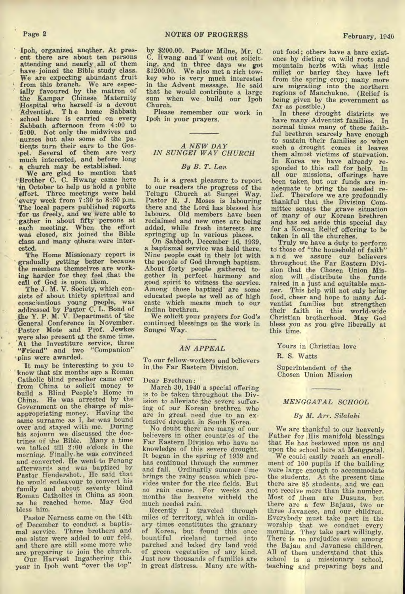Ipoh, organized another. At pres-• ent there are about ten persons attending and nearly all of them<br>have joined the Bible study class. We are expecting abundant fruit from this branch. We are espec-' ially favoured by the matron of the Kampar Chinese Maternity Hospital who herself is a devout Adventist. The home Sabbath<br>school here is carried on every Sabbath afternoon from 4:00 to 5:00. Not only the midwives and nurses but also some of the patients turn their ears to the Gospel. Several of them are very much interested, and before long

A church may be established. We are glad to mention that Brother C. C. Hwang came here in October to help us hold a public effort. Three meetings were held every week from 7:30 to 8:30 p.m. The local papers published reports °for us freely, and we were able to gather in about fifty persons at each meeting. When the effort was closed, six joined the Bible class and many others were interested.

The Home Missionary report is gradually getting better because the members themselves are working harder for they feel that the call of God is upon. them.

The J. M. V. Society, which consists of about thirty spiritual and conscientious young people, was addressed by Pastor C. L. Bond of the Y. P. M. V. Department of the General Conference in November. Pastor Mote and Prof. Jewkes were also present a,t the same time. At the Investiture service, three "Friend" and two "Companion" 'pins were awarded.

It may be interesting to you to know that six months ago a Roman Catholic blind preacher came over from China to solicit money to build a Blind People's Home in China. He was arrested by the Government on the charge of misappropriating money. Having the same surname as I, he was bound over and stayed with me. During his sojourn we discussed the doctrines of the Bible. Many a time we talked till 2:00 o'clock in the morning. Finally.he was convinced and converted. He went to Penang afterwards and was baptized by Pastor Hendershot.. He said that he would endeavour to convert his family and about seventy blind Roman Catholicg in China as soon as he reached home. May God bless him.

Pastor Nerness came on the 14th of December to conduct a baptismal service. Three brothers and one sister were added to our fold, and there are still some more who are preparing to join the church. Our Harvest Ingathering this

year in Ipoh went "over the top"

by \$200.00. Pastor Milne, Mr. C. C. Hwang and I went out soliciting, and in three days we got \$1200.00. We also met a rich tow-key who is very much interested in the Advent message. He said that he would contribute a large sum when we build our Ipoh Church.

Please remember our work in Ipoh in your prayers.

# *A NEW DAY IN SUNGEI WAY CHURCH*

#### *By B. T. Lan*

It is a great pleasure to report to our readers the progress of the Telugu Church at Sungei Way. Pastor R. J. Moses is labouring there and the Lord has blessed his labours. Old members have been reclaimed and new ones are being added, while fresh interests are springing up in various places.

On Sabbath, December 16, 1939, a baptismal service was held there. Nine people cast in their lot with the people of God through baptism. About forty people gathered to-gether in perfect harmony and good spirit to witness the service. Among those baptized are some educated people as well as of high caste which means much to our Indian brethren.

We solicit your prayers for God's continued blessings on the work in Sungei Way.

#### *AN APPEAL*

To our fellow-workers and believers in the Far Eastern Division.

Dear Brethren:

March 30, 1940 a special offering is to be taken throughout the Division to alleviate the severe suffering of our Korean brethren who are in great need due to an extensive drought in South Korea.

No doubt there are many of our believers in other countries of the Far Eastern Division who have no knowledge of this severe drought. It began in the spring of 1939 and has continued through the summer and fall. Ordinarily summer t'me brings the rainy season which provides water for the rice fields. But no rain came. For weeks and months the heavens witheld the much needed rain.

Recently I traveled through miles of territory, which in ordinary times constitutes the granary of Korea, but found this once bountiful riceland turned into parched and baked dry land void of green vegetation of any kind. Just now thousands of families are in great distress. Many are with-

far as possible.) In these drought districts we have many Adventist families. In normal times many of these faithful brethren scarcely have enough to sustain their families so when such a drought comes it leaves them almost victims of starvation. In Korea we have already re-<br>sponded to this call for help. In all our missions, offerings have been taken but our funds are inadequate to bring the needed relief. Therefore we are profoundly thankful that the Division Committee senses the grave situation of many of our Korean brethren and has set aside this special day for a Korean Relief offering to be taken in all the churches.

Truly we have a duty to perform to those of "the household of faith" a n d we assure our believers throughout the Far Eastern Division that the Chosen Union Mission will distribute the funds raised in a just and equitable manner. This help will not only bring food, cheer and hope to many Adventist families but strengthen their faith in this world-wide Christian brotherhood. May God bless you as you. give liberally at this time.

Yours in Christian love

R. S. Watts

Superintendent of the Chosen Union Mission

#### *MENGGATAL SCHOOL*

#### *By M. Arr. Silalaki*

We are thankful to our heavenly Father for His manifold blessings that He has bestowed upon us and upon the school here at Menggatal.

We could easily reach an enrollment of 100 pupils if the building were large enough to accommodate the students. At the present time there are 85 students, and we can not receive more than this number. Most of them are Dusuns, but there are a few Bajaus, two or three Javanese, and our children. Everybody must take part in the worship that we conduct every morning. They take part willingly. There is no prejudice even among the Bajau and Javanese children. All of them understand that this school is a missionary school, teaching and preparing boys and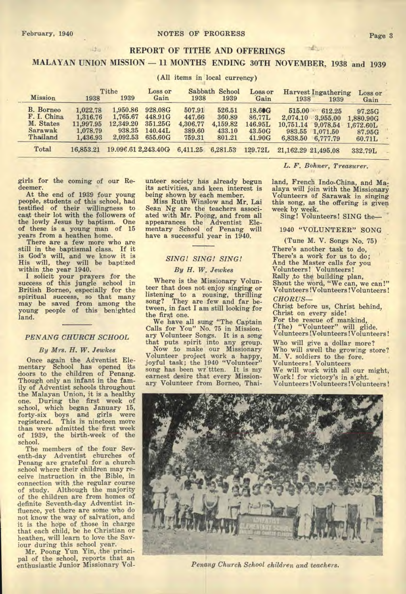# **REPORT OF TITHE AND OFFERINGS**

**MALAYAN UNION MISSION — 11 MONTHS ENDING 30TH NOVEMBER, 1938 and 1939** 

(All items in local currency)

| Mission                                                             | 1938                                                      | Tithe<br>1939                                           | Loss or<br>Gain                                     | 1938                                             | Sabbath School<br>1939                           | Loss or<br>Gain                                 | 1938                                                  | <b>Harvest Ingathering</b><br>1939                     | Loss or<br>Gain                                      |  |
|---------------------------------------------------------------------|-----------------------------------------------------------|---------------------------------------------------------|-----------------------------------------------------|--------------------------------------------------|--------------------------------------------------|-------------------------------------------------|-------------------------------------------------------|--------------------------------------------------------|------------------------------------------------------|--|
| <b>B.</b> Borneo<br>F. I. China<br>M. States<br>Sarawak<br>Thailand | 1.022.78<br>1,316.76<br>11,997.95<br>1,078.79<br>1.436.93 | 1.950.86<br>1,765.67<br>12,349.20<br>938.35<br>2,092.53 | 928.08G<br>448.91G<br>351.25G<br>140.44L<br>655,60G | 507.91<br>447.66<br>4,306.77<br>389.60<br>759.31 | 526.51<br>360.89<br>4,159.82<br>433.10<br>801.21 | 18.60G<br>86.77L<br>146.95L<br>43.50G<br>41.90G | 515.00<br>2,074.10<br>10.751.14<br>983.55<br>6,838.50 | 612.25<br>3,955.00<br>9,078.54<br>1,071.50<br>6,777.79 | 97.25G<br>1,880.90G<br>1,672.60L<br>87.95G<br>60.71L |  |
| Total                                                               | 16,853.21                                                 | 19.096.61 2.243.40G                                     |                                                     | 6,411.25                                         | 6,281.53                                         | 129.72L                                         | 21, 162.29 21, 495.08                                 |                                                        | 332.79L                                              |  |
|                                                                     |                                                           |                                                         |                                                     |                                                  |                                                  |                                                 |                                                       |                                                        |                                                      |  |

girls for the coming of our Redeemer.

itta /

At the end of 1939 four young people, students of this school, had testified of their willingness to cast their lot with the followers of the lowly Jesus by baptism. One of these is a young man of 15 years from a heathen home.

There are a few more who are still in the baptismal class. If it is God's will, and we know it is His will, they will be baptized within the year 1940. I solicit your prayers for the

success of this jungle school in British Borneo, especially for the spiritual success, so that many may be saved from among the young people of this benighted land.

#### *PENANG CHURCH SCHOOL*

#### *By Mrs. H. W. Jewkes*

Once again the Adventist Elementary School has opened its doors to the children of Penang. Though only an infant in the family of Adventist schools throughout the Malayan Union, it is a healthy one. During the first week of school, which began January 15, forty-six boys and girls were registered. This is nineteen more than were admitted the first week of 1939, the birth-week of the school.

The members of the four Seventh-day Adventist churches of Penang are grateful for a church school where their children may receive instruction in the Bible, in connection with the regular course of study. Although the majority of the children are from homes of definite Seventh-day Adventist influence, yet there are some who do not know the way of salvation, and it is the hope of those in charge that each child, be he Christian or heathen, will learn to love the Saviour during this school year.

Mr. Poong Yun Yin, ,the princi-pal of the school, reports that an enthusiastic Junior Missionary Volunteer society has already begun its activities, and keen interest is being shown by each member.

Miss Ruth Winslow and Mr. Lai Sean *Ng* are the teachers associated with Mr. Poong, and from all appearances the Adventist Elementary School of Penang will have a successful year in 1940.

# *SING! SING! SING!*

#### *By H. W. Jewkes*

Where is the Missionary Volunteer that does not enjoy singing or listening to a rousing, thrilling song? They are few and far be-tween, in fact I am still looking for the first one.

We have all sung "The Captain Calls for You" No. 75 in Missionary Volunteer Songs. It is a song that puts spirit into any group.

Now to make our Missionary Volunteer project work a happy, joyful task; the 1940 "Volunteer" song has been wr'ttten. It is my earnest desire that every Missionary Volunteer from Borneo, Thai*L. F. Bohner, Treasurer.* 

make an

land, French Indo-China, and Maalaya will join with the Missionary Volunteers of Sarawak in singing this song, as the offering is given week by week.<br>Sing! Volunteers! SING the-

1940 "VOLUNTEER" SONG

(Tune M. V. Songs No. 75) There's another task to do, There's a work for us to do; And the Master calls for you Volunteers! Volunteers! Rally to the building plan, Shout the word, "We can, we can!" Volunteers !Volunteers!Volunteers! *CHORUS—* 

Christ before us, Christ behind, Christ on every side! For the rescue of mankind, (The) "Volunteer" will glide. Volunteers !Volunteers!Volunteers!

Who will give a dollar more? Who will swell the growing store? M. V. soldiers to the fore. Volunteers!. Volunteers We will work with all our might, Work! for victory's in s'ght. . Volunteers ! Volunteers ! Volunteers !



*Penang Church School children and teachers.*